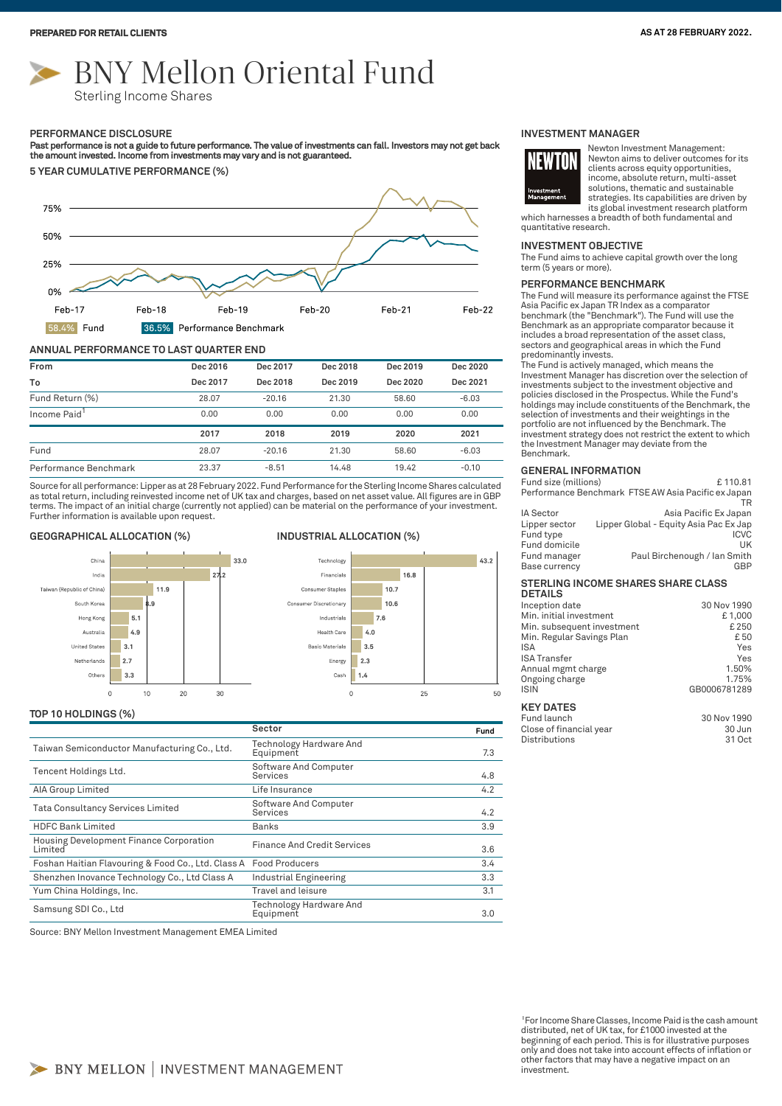# BNY Mellon Oriental Fund

Sterling Income Shares

#### **PERFORMANCE DISCLOSURE**

Past performance is not a guide to future performance. The value of investments can fall. Investors may not get back<br>the amount invested. Income from investments may vary and is not guaranteed.

**5 YEAR CUMULATIVE PERFORMANCE (%)**



#### **ANNUAL PERFORMANCE TO LAST QUARTER END**

| From                     | Dec 2016 | Dec 2017 | Dec 2018 | Dec 2019 | Dec 2020 |
|--------------------------|----------|----------|----------|----------|----------|
| To                       | Dec 2017 | Dec 2018 | Dec 2019 | Dec 2020 | Dec 2021 |
| Fund Return (%)          | 28.07    | $-20.16$ | 21.30    | 58.60    | $-6.03$  |
| Income Paid <sup>1</sup> | 0.00     | 0.00     | 0.00     | 0.00     | 0.00     |
|                          | 2017     | 2018     | 2019     | 2020     | 2021     |
| Fund                     | 28.07    | $-20.16$ | 21.30    | 58.60    | $-6.03$  |
| Performance Benchmark    | 23.37    | $-8.51$  | 14.48    | 19.42    | $-0.10$  |

Source for all performance: Lipper as at 28 February 2022. Fund Performance for the Sterling Income Shares calculated as total return, including reinvested income net of UK tax and charges, based on net asset value. All figures are in GBP<br>terms. The impact of an initial charge (currently not applied) can be material on the performance of Further information is available upon request.

### **GEOGRAPHICAL ALLOCATION (%) INDUSTRIAL ALLOCATION (%)**





#### **TOP 10 HOLDINGS (%)**

|                                                                   | Sector                               | Fund |
|-------------------------------------------------------------------|--------------------------------------|------|
| Taiwan Semiconductor Manufacturing Co., Ltd.                      | Technology Hardware And<br>Equipment | 7.3  |
| Tencent Holdings Ltd.                                             | Software And Computer<br>Services    | 4.8  |
| AIA Group Limited                                                 | Life Insurance                       | 4.2  |
| Tata Consultancy Services Limited                                 | Software And Computer<br>Services    | 4.2  |
| <b>HDFC Bank Limited</b>                                          | Banks                                | 3.9  |
| Housing Development Finance Corporation<br>Limited                | <b>Finance And Credit Services</b>   | 3.6  |
| Foshan Haitian Flavouring & Food Co., Ltd. Class A Food Producers |                                      | 3.4  |
| Shenzhen Inovance Technology Co., Ltd Class A                     | Industrial Engineering               | 3.3  |
| Yum China Holdings, Inc.                                          | Travel and leisure                   | 3.1  |
| Samsung SDI Co., Ltd                                              | Technology Hardware And<br>Equipment | 3.0  |

Source: BNY Mellon Investment Management EMEA Limited

#### **INVESTMENT MANAGER**



Newton Investment Management: Newton aims to deliver outcomes for its clients across equity opportunities, income, absolute return, multi-asset solutions, thematic and sustainable strategies. Its capabilities are driven by its global investment research platform

which harnesses a breadth of both fundamental and quantitative research.

#### **INVESTMENT OBJECTIVE**

The Fund aims to achieve capital growth over the long term (5 years or more).

#### **PERFORMANCE BENCHMARK**

The Fund will measure its performance against the FTSE Asia Pacific ex Japan TR Index as a comparator benchmark (the "Benchmark"). The Fund will use the Benchmark as an appropriate comparator because it includes a broad representation of the asset class, sectors and geographical areas in which the Fund predominantly invests.

The Fund is actively managed, which means the Investment Manager has discretion over the selection of investments subject to the investment objective and policies disclosed in the Prospectus. While the Fund's holdings may include constituents of the Benchmark, the selection of investments and their weightings in the portfolio are not influenced by the Benchmark. The investment strategy does not restrict the extent to which the Investment Manager may deviate from the Benchmark.

#### **GENERAL INFORMATION**

Fund size (millions) E 110.81 Performance Benchmark FTSE AW Asia Pacific ex Japan TR IA Sector **Asia Pacific Ex Japan** 

|               | 1.01011.001110.0110.0000011            |
|---------------|----------------------------------------|
| Lipper sector | Lipper Global - Equity Asia Pac Ex Jap |
| Fund type     | <b>ICVC</b>                            |
| Fund domicile | 1 IK                                   |
| Fund manager  | Paul Birchenough / Ian Smith           |
| Base currency | GBP                                    |
|               |                                        |

#### **STERLING INCOME SHARES SHARE CLASS DETAILS**

| ------                     |              |
|----------------------------|--------------|
| Inception date             | 30 Nov 1990  |
| Min. initial investment    | £1,000       |
| Min. subsequent investment | £250         |
| Min. Regular Savings Plan  | £ 50         |
| <b>ISA</b>                 | Yes          |
| <b>ISA Transfer</b>        | Yes          |
| Annual mgmt charge         | 1.50%        |
| Ongoing charge             | 1.75%        |
| <b>ISIN</b>                | GB0006781289 |
|                            |              |
| <b>KEY DATES</b>           |              |
| Fund launch                | 30 Nov 1990  |
| Close of financial year    | 30 Jun       |
| Distributions              | 31 Oct       |

<sup>1</sup>For Income Share Classes, Income Paid is the cash amount distributed, net of UK tax, for £1000 invested at the beginning of each period. This is for illustrative purposes only and does not take into account effects of inflation or other factors that may have a negative impact on an investment.